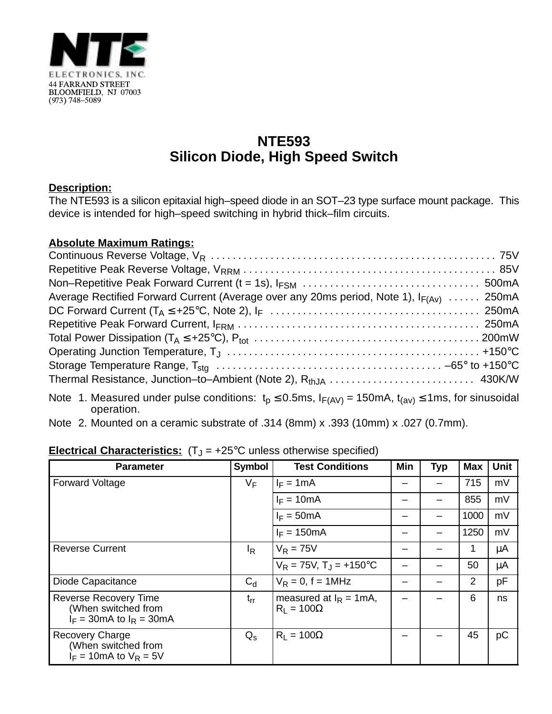

## **NTE593 Silicon Diode, High Speed Switch**

## **Description:**

The NTE593 is a silicon epitaxial high–speed diode in an SOT–23 type surface mount package. This device is intended for high–speed switching in hybrid thick–film circuits.

## **Absolute Maximum Ratings:**

| Average Rectified Forward Current (Average over any 20ms period, Note 1), $I_{F(Av)}$ 250mA |  |
|---------------------------------------------------------------------------------------------|--|
|                                                                                             |  |
|                                                                                             |  |
|                                                                                             |  |
|                                                                                             |  |
|                                                                                             |  |
|                                                                                             |  |
|                                                                                             |  |

- Note 1. Measured under pulse conditions:  $t_p \le 0.5$ ms,  $I_{F(AV)} = 150$ mA,  $t_{(av)} \le 1$ ms, for sinusoidal operation.
- Note 2. Mounted on a ceramic substrate of .314 (8mm) x .393 (10mm) x .027 (0.7mm).

| <b>Parameter</b>                                                                    | <b>Symbol</b>  | <b>Test Conditions</b>                         | Min | <b>Typ</b> | <b>Max</b>     | <b>Unit</b> |
|-------------------------------------------------------------------------------------|----------------|------------------------------------------------|-----|------------|----------------|-------------|
| <b>Forward Voltage</b>                                                              | VF             | $I_F = 1mA$                                    |     |            | 715            | mV          |
|                                                                                     |                | $I_F = 10mA$                                   |     |            | 855            | mV          |
|                                                                                     |                | $I_F = 50mA$                                   |     |            | 1000           | mV          |
|                                                                                     |                | $I_F = 150mA$                                  |     |            | 1250           | mV          |
| <b>Reverse Current</b>                                                              | <sup>I</sup> R | $V_R = 75V$                                    |     |            | 1              | μA          |
|                                                                                     |                | $V_R = 75V$ , $T_J = +150^{\circ}C$            |     |            | 50             | μA          |
| Diode Capacitance                                                                   | $C_d$          | $V_R = 0$ , f = 1MHz                           |     |            | $\overline{2}$ | pF          |
| <b>Reverse Recovery Time</b><br>(When switched from<br>$I_F$ = 30mA to $I_R$ = 30mA | $t_{rr}$       | measured at $I_R = 1mA$ ,<br>$R_1 = 100\Omega$ |     |            | 6              | ns          |
| <b>Recovery Charge</b><br>(When switched from<br>$I_F = 10$ mA to $V_R = 5V$        | $Q_{\rm s}$    | $R_1 = 100\Omega$                              |     |            | 45             | рC          |

## **Electrical Characteristics:**  $(T_J = +25^{\circ}C$  unless otherwise specified)